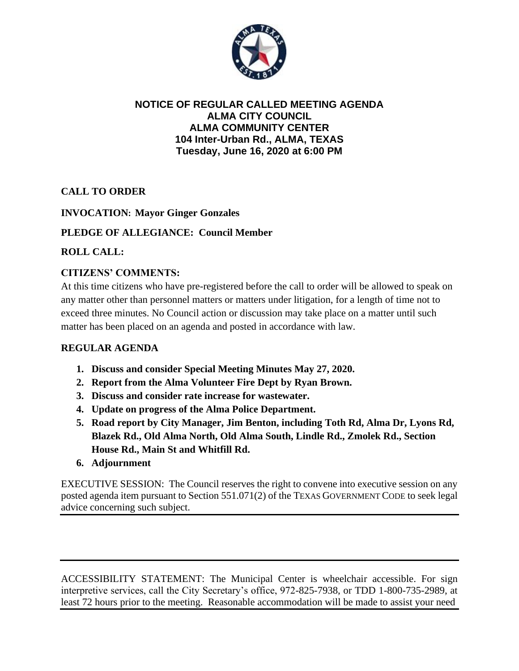

### **NOTICE OF REGULAR CALLED MEETING AGENDA ALMA CITY COUNCIL ALMA COMMUNITY CENTER 104 Inter-Urban Rd., ALMA, TEXAS Tuesday, June 16, 2020 at 6:00 PM**

# **CALL TO ORDER**

# **INVOCATION: Mayor Ginger Gonzales**

### **PLEDGE OF ALLEGIANCE: Council Member**

### **ROLL CALL:**

# **CITIZENS' COMMENTS:**

At this time citizens who have pre-registered before the call to order will be allowed to speak on any matter other than personnel matters or matters under litigation, for a length of time not to exceed three minutes. No Council action or discussion may take place on a matter until such matter has been placed on an agenda and posted in accordance with law.

#### **REGULAR AGENDA**

- **1. Discuss and consider Special Meeting Minutes May 27, 2020.**
- **2. Report from the Alma Volunteer Fire Dept by Ryan Brown.**
- **3. Discuss and consider rate increase for wastewater.**
- **4. Update on progress of the Alma Police Department.**
- **5. Road report by City Manager, Jim Benton, including Toth Rd, Alma Dr, Lyons Rd, Blazek Rd., Old Alma North, Old Alma South, Lindle Rd., Zmolek Rd., Section House Rd., Main St and Whitfill Rd.**
- **6. Adjournment**

EXECUTIVE SESSION: The Council reserves the right to convene into executive session on any posted agenda item pursuant to Section 551.071(2) of the TEXAS GOVERNMENT CODE to seek legal advice concerning such subject.

ACCESSIBILITY STATEMENT: The Municipal Center is wheelchair accessible. For sign interpretive services, call the City Secretary's office, 972-825-7938, or TDD 1-800-735-2989, at least 72 hours prior to the meeting. Reasonable accommodation will be made to assist your need